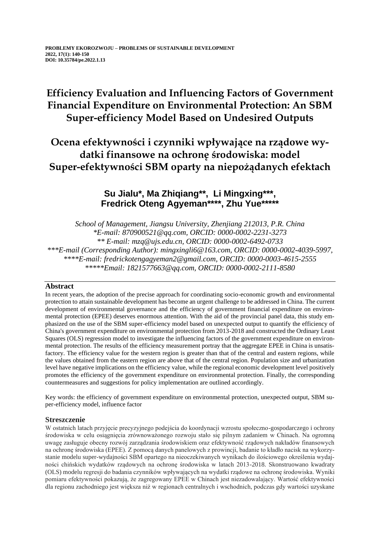# **Efficiency Evaluation and Influencing Factors of Government Financial Expenditure on Environmental Protection: An SBM Super-efficiency Model Based on Undesired Outputs**

# **Ocena efektywności i czynniki wpływające na rządowe wydatki finansowe na ochronę środowiska: model Super-efektywności SBM oparty na niepożądanych efektach**

## **Su Jialu\*, Ma Zhiqiang\*\*, Li Mingxing\*\*\*, Fredrick Oteng Agyeman\*\*\*\*, Zhu Yue\*\*\*\*\***

*School of Management, Jiangsu University, Zhenjiang 212013, P.R. China \*E-mail: 870900521@qq.com, ORCID: 0000-0002-2231-3273 \*\* E-mail: mzq@ujs.edu.cn, ORCID: 0000-0002-6492-0733 \*\*\*E-mail (Corresponding Author): mingxingli6@163.com, ORCID: 0000-0002-4039-5997, \*\*\*\*E-mail: fredrickotengagyeman2@gmail.com, ORCID: 0000-0003-4615-2555 \*\*\*\*\*Email: 1821577663@qq.com, ORCID: 0000-0002-2111-8580*

## **Abstract**

In recent years, the adoption of the precise approach for coordinating socio-economic growth and environmental protection to attain sustainable development has become an urgent challenge to be addressed in China. The current development of environmental governance and the efficiency of government financial expenditure on environmental protection (EPEE) deserves enormous attention. With the aid of the provincial panel data, this study emphasized on the use of the SBM super-efficiency model based on unexpected output to quantify the efficiency of China's government expenditure on environmental protection from 2013-2018 and constructed the Ordinary Least Squares (OLS) regression model to investigate the influencing factors of the government expenditure on environmental protection. The results of the efficiency measurement portray that the aggregate EPEE in China is unsatisfactory. The efficiency value for the western region is greater than that of the central and eastern regions, while the values obtained from the eastern region are above that of the central region. Population size and urbanization level have negative implications on the efficiency value, while the regional economic development level positively promotes the efficiency of the government expenditure on environmental protection. Finally, the corresponding countermeasures and suggestions for policy implementation are outlined accordingly.

Key words: the efficiency of government expenditure on environmental protection, unexpected output, SBM super-efficiency model, influence factor

## **Streszczenie**

W ostatnich latach przyjęcie precyzyjnego podejścia do koordynacji wzrostu społeczno-gospodarczego i ochrony środowiska w celu osiągnięcia zrównoważonego rozwoju stało się pilnym zadaniem w Chinach. Na ogromną uwagę zasługuje obecny rozwój zarządzania środowiskiem oraz efektywność rządowych nakładów finansowych na ochronę środowiska (EPEE). Z pomocą danych panelowych z prowincji, badanie to kładło nacisk na wykorzystanie modelu super-wydajności SBM opartego na nieoczekiwanych wynikach do ilościowego określenia wydajności chińskich wydatków rządowych na ochronę środowiska w latach 2013-2018. Skonstruowano kwadraty (OLS) modelu regresji do badania czynników wpływających na wydatki rządowe na ochronę środowiska. Wyniki pomiaru efektywności pokazują, że zagregowany EPEE w Chinach jest niezadowalający. Wartość efektywności dla regionu zachodniego jest większa niż w regionach centralnych i wschodnich, podczas gdy wartości uzyskane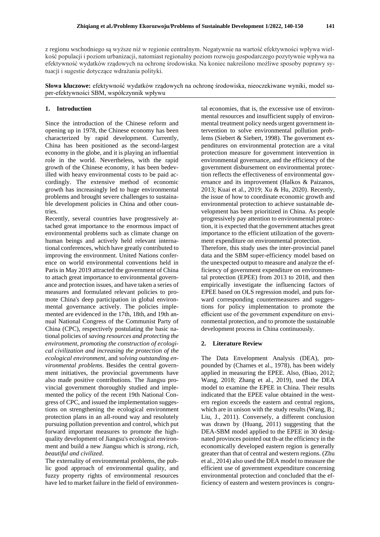z regionu wschodniego są wyższe niż w regionie centralnym. Negatywnie na wartość efektywności wpływa wielkość populacji i poziom urbanizacji, natomiast regionalny poziom rozwoju gospodarczego pozytywnie wpływa na efektywność wydatków rządowych na ochronę środowiska. Na koniec nakreślono możliwe sposoby poprawy sytuacji i sugestie dotyczące wdrażania polityki.

**Słowa kluczowe:** efektywność wydatków rządowych na ochronę środowiska, nieoczekiwane wyniki, model super-efektywności SBM, współczynnik wpływu

### **1. Introduction**

Since the introduction of the Chinese reform and opening up in 1978, the Chinese economy has been characterized by rapid development. Currently, China has been positioned as the second-largest economy in the globe, and it is playing an influential role in the world. Nevertheless, with the rapid growth of the Chinese economy, it has been bedevilled with heavy environmental costs to be paid accordingly. The extensive method of economic growth has increasingly led to huge environmental problems and brought severe challenges to sustainable development policies in China and other countries.

Recently, several countries have progressively attached great importance to the enormous impact of environmental problems such as climate change on human beings and actively held relevant international conferences, which have greatly contributed to improving the environment. United Nations conference on world environmental conventions held in Paris in May 2019 attracted the government of China to attach great importance to environmental governance and protection issues, and have taken a series of measures and formulated relevant policies to promote China's deep participation in global environmental governance actively. The policies implemented are evidenced in the 17th, 18th, and 19th annual National Congress of the Communist Party of China (CPC), respectively postulating the basic national policies of *saving resources and protecting the environment, promoting the construction of ecological civilization and increasing the protection of the ecological environment,* and *solving outstanding environmental problems*. Besides the central government initiatives, the provincial governments have also made positive contributions. The Jiangsu provincial government thoroughly studied and implemented the policy of the recent 19th National Congress of CPC, and issued the implementation suggestions on strengthening the ecological environment protection plans in an all-round way and resolutely pursuing pollution prevention and control, which put forward important measures to promote the highquality development of Jiangsu's ecological environment and build a new Jiangsu which is *strong, rich, beautiful and civilized*.

The externality of environmental problems, the public good approach of environmental quality, and fuzzy property rights of environmental resources have led to market failure in the field of environmen-

tal economies, that is, the excessive use of environmental resources and insufficient supply of environmental treatment policy needs urgent government intervention to solve environmental pollution problems (Siebert & Siebert, 1998). The government expenditures on environmental protection are a vital protection measure for government intervention in environmental governance, and the efficiency of the government disbursement on environmental protection reflects the effectiveness of environmental governance and its improvement (Halkos & Paizanos, 2013; Kuai et al., 2019; Xu & Hu, 2020). Recently, the issue of how to coordinate economic growth and environmental protection to achieve sustainable development has been prioritized in China. As people progressively pay attention to environmental protection, it is expected that the government attaches great importance to the efficient utilization of the government expenditure on environmental protection. Therefore, this study uses the inter-provincial panel data and the SBM super-efficiency model based on the unexpected output to measure and analyze the efficiency of government expenditure on environmental protection (EPEE) from 2013 to 2018, and then empirically investigate the influencing factors of EPEE based on OLS regression model, and puts forward corresponding countermeasures and suggestions for policy implementation to promote the efficient use of the government expenditure on environmental protection, and to promote the sustainable

#### **2. Literature Review**

The Data Envelopment Analysis (DEA), propounded by (Charnes et al., 1978), has been widely applied in measuring the EPEE. Also, (Biao, 2012; Wang, 2018; Zhang et al., 2019), used the DEA model to examine the EPEE in China. Their results indicated that the EPEE value obtained in the western region exceeds the eastern and central regions, which are in unison with the study results (Wang, B.; Liu, J., 2011). Conversely, a different conclusion was drawn by (Huang, 2011) suggesting that the DEA-SBM model applied to the EPEE in 30 designated provinces pointed out th-at the efficiency in the economically developed eastern region is generally greater than that of central and western regions. (Zhu et al., 2014) also used the DEA model to measure the efficient use of government expenditure concerning environmental protection and concluded that the efficiency of eastern and western provinces is congru-

development process in China continuously.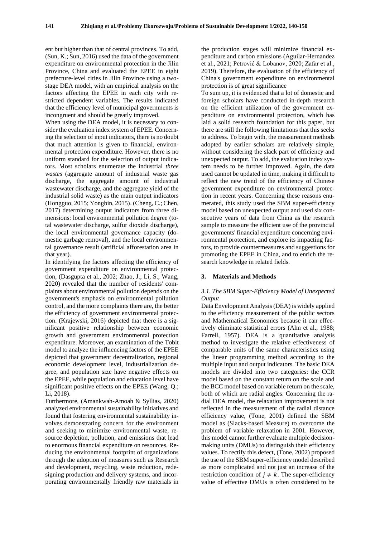ent but higher than that of central provinces. To add, (Sun, K.; Sun, 2016) used the data of the government expenditure on environmental protection in the Jilin Province, China and evaluated the EPEE in eight prefecture-level cities in Jilin Province using a twostage DEA model, with an empirical analysis on the factors affecting the EPEE in each city with restricted dependent variables. The results indicated that the efficiency level of municipal governments is incongruent and should be greatly improved.

When using the DEA model, it is necessary to consider the evaluation index system of EPEE. Concerning the selection of input indicators, there is no doubt that much attention is given to financial, environmental protection expenditure. However, there is no uniform standard for the selection of output indicators. Most scholars enumerate the industrial *three wastes* (aggregate amount of industrial waste gas discharge, the aggregate amount of industrial wastewater discharge, and the aggregate yield of the industrial solid waste) as the main output indicators (Hongguo, 2015; Yongbin, 2015). (Cheng, C.; Chen, 2017) determining output indicators from three dimensions: local environmental pollution degree (total wastewater discharge, sulfur dioxide discharge), the local environmental governance capacity (domestic garbage removal), and the local environmental governance result (artificial afforestation area in that year).

In identifying the factors affecting the efficiency of government expenditure on environmental protection, (Dasgupta et al., 2002; Zhao, J.; Li, S.; Wang, 2020) revealed that the number of residents' complaints about environmental pollution depends on the government's emphasis on environmental pollution control, and the more complaints there are, the better the efficiency of government environmental protection. (Krajewski, 2016) depicted that there is a significant positive relationship between economic growth and government environmental protection expenditure. Moreover, an examination of the Tobit model to analyze the influencing factors of the EPEE depicted that government decentralization, regional economic development level, industrialization degree, and population size have negative effects on the EPEE, while population and education level have significant positive effects on the EPEE (Wang, Q.; Li, 2018).

Furthermore, (Amankwah-Amoah & Syllias, 2020) analyzed environmental sustainability initiatives and found that fostering environmental sustainability involves demonstrating concern for the environment and seeking to minimize environmental waste, resource depletion, pollution, and emissions that lead to enormous financial expenditure on resources. Reducing the environmental footprint of organizations through the adoption of measures such as Research and development, recycling, waste reduction, redesigning production and delivery systems, and incorporating environmentally friendly raw materials in

the production stages will minimize financial expenditure and carbon emissions (Aguilar-Hernandez et al., 2021; Petrović & Lobanov, 2020; Zafar et al., 2019). Therefore, the evaluation of the efficiency of China's government expenditure on environmental protection is of great significance

To sum up, it is evidenced that a lot of domestic and foreign scholars have conducted in-depth research on the efficient utilization of the government expenditure on environmental protection, which has laid a solid research foundation for this paper, but there are still the following limitations that this seeks to address. To begin with, the measurement methods adopted by earlier scholars are relatively simple, without considering the slack part of efficiency and unexpected output. To add, the evaluation index system needs to be further improved. Again, the data used cannot be updated in time, making it difficult to reflect the new trend of the efficiency of Chinese government expenditure on environmental protection in recent years. Concerning these reasons enumerated, this study used the SBM super-efficiency model based on unexpected output and used six consecutive years of data from China as the research sample to measure the efficient use of the provincial governments' financial expenditure concerning environmental protection, and explore its impacting factors, to provide countermeasures and suggestions for promoting the EPEE in China, and to enrich the research knowledge in related fields.

#### **3. Materials and Methods**

#### *3.1. The SBM Super-Efficiency Model of Unexpected Output*

Data Envelopment Analysis (DEA) is widely applied to the efficiency measurement of the public sectors and Mathematical Economics because it can effectively eliminate statistical errors (Ahn et al., 1988; Farrell, 1957). DEA is a quantitative analysis method to investigate the relative effectiveness of comparable units of the same characteristics using the linear programming method according to the multiple input and output indicators. The basic DEA models are divided into two categories: the CCR model based on the constant return on the scale and the BCC model based on variable return on the scale, both of which are radial angles. Concerning the radial DEA model, the relaxation improvement is not reflected in the measurement of the radial distance efficiency value, (Tone, 2001) defined the SBM model as (Slacks-based Measure) to overcome the problem of variable relaxation in 2001. However, this model cannot further evaluate multiple decisionmaking units (DMUs) to distinguish their efficiency values. To rectify this defect, (Tone, 2002) proposed the use of the SBM super-efficiency model described as more complicated and not just an increase of the restriction condition of  $j \neq k$ . The super-efficiency value of effective DMUs is often considered to be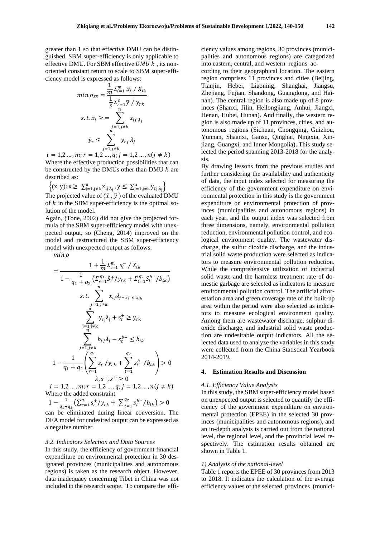greater than 1 so that effective DMU can be distinguished. SBM super-efficiency is only applicable to effective DMU. For SBM effective  $DMU k$ , its nonoriented constant return to scale to SBM super-efficiency model is expressed as follows:

$$
\min \rho_{SE} = \frac{\frac{1}{m} \sum_{i=1}^{m} \bar{x}_i / X_{ik}}{\frac{1}{S} \sum_{r=1}^{S} \bar{y} / y_{rk}}
$$
  
s. t.  $\bar{x}_i \ge \sum_{\substack{j=1, j \neq k}}^{n} x_{ij \lambda_j}$   
 $\bar{y}_r \le \sum_{j=1, j \neq k}^{n} y_{rj} \lambda_j$ 

 $i = 1, 2, ..., m; r = 1, 2, ..., q; j = 1, 2, ..., n(j \neq k)$ Where the effective production possibilities that can be constructed by the DMUs other than DMU  $k$  are described as:

 $\left\{(x, y): x \ge \sum_{j=1, j\neq k}^{n} x_{ij} \lambda_j, y \le \sum_{j=1, j\neq k}^{n} y_{rj} \lambda_j\right\}$ 

The projected value of  $(\bar{x}, \bar{y})$  of the evaluated DMU of  $k$  in the SBM super-efficiency is the optimal solution of the model.

Again, (Tone, 2002) did not give the projected formula of the SBM super-efficiency model with unexpected output, so (Cheng, 2014) improved on the model and restructured the SBM super-efficiency model with unexpected output as follows:

 $min \rho$ 

$$
= \frac{1 + \frac{1}{m} \sum_{i=1}^{m} s_i^{-} / X_{ik}}{1 - \frac{1}{q_1 + q_2} \left( \sum_{r=1}^{q_1} S_r^{+} / y_{rk} + \sum_{t=1}^{q_2} S_t^{b-} / b_{tk} \right)}
$$
  
s.t. 
$$
\sum_{\substack{j=1, j \neq k}}^{n} x_{ij} \lambda_{j-s_i^{-} \le x_{ik}}
$$

$$
\sum_{\substack{j=1, j \neq k}}^{n} y_{rj} \lambda_j + s_r^{+} \ge y_{rk}
$$

$$
1 - \frac{1}{q_1 + q_2} \left( \sum_{r=1}^{q_1} s_r^{+} / y_{rk} + \sum_{t=1}^{q_2} s_t^{b-} / b_{tk} \right) > 0
$$

$$
\lambda, s^-, s^+ \ge 0
$$

 $i = 1, 2, ..., m; r = 1, 2, ..., q; j = 1, 2, ..., n(j \neq k)$ Where the added constraint

 $1-\frac{1}{1}$  $\frac{1}{q_1+q_2} \left( \sum_{r=1}^{q_1} s_r^+ / y_{rk} + \sum_{t=1}^{q_2} s_t^{b-} / b_{tk} \right)$  $\binom{q_2}{t-1} s_t^{b-} / b_{tk}$  > 0

can be eliminated during linear conversion. The DEA model for undesired output can be expressed as a negative number.

#### *3.2. Indicators Selection and Data Sources*

In this study, the efficiency of government financial expenditure on environmental protection in 30 designated provinces (municipalities and autonomous regions) is taken as the research object. However, data inadequacy concerning Tibet in China was not included in the research scope. To compare the effi-

ciency values among regions, 30 provinces (municipalities and autonomous regions) are categorized into eastern, central, and western regions ac-

cording to their geographical location. The eastern region comprises 11 provinces and cities (Beijing, Tianjin, Hebei, Liaoning, Shanghai, Jiangsu, Zhejiang, Fujian, Shandong, Guangdong, and Hainan). The central region is also made up of 8 provinces (Shanxi, Jilin, Heilongjiang, Anhui, Jiangxi, Henan, Hubei, Hunan). And finally, the western region is also made up of 11 provinces, cities, and autonomous regions (Sichuan, Chongqing, Guizhou, Yunnan, Shaanxi, Gansu, Qinghai, Ningxia, Xinjiang, Guangxi, and Inner Mongolia). This study selected the period spanning 2013-2018 for the analysis.

By drawing lessons from the previous studies and further considering the availability and authenticity of data, the input index selected for measuring the efficiency of the government expenditure on environmental protection in this study is the government expenditure on environmental protection of provinces (municipalities and autonomous regions) in each year, and the output index was selected from three dimensions, namely, environmental pollution reduction, environmental pollution control, and ecological environment quality. The wastewater discharge, the sulfur dioxide discharge, and the industrial solid waste production were selected as indicators to measure environmental pollution reduction. While the comprehensive utilization of industrial solid waste and the harmless treatment rate of domestic garbage are selected as indicators to measure environmental pollution control. The artificial afforestation area and green coverage rate of the built-up area within the period were also selected as indicators to measure ecological environment quality. Among them are wastewater discharge, sulphur dioxide discharge, and industrial solid waste production are undesirable output indicators. All the selected data used to analyze the variables in this study were collected from the China Statistical Yearbook 2014-2019.

#### **4. Estimation Results and Discussion**

#### *4.1. Efficiency Value Analysis*

In this study, the SBM super-efficiency model based on unexpected output is selected to quantify the efficiency of the government expenditure on environmental protection (EPEE) in the selected 30 provinces (municipalities and autonomous regions), and an in-depth analysis is carried out from the national level, the regional level, and the provincial level respectively. The estimation results obtained are shown in Table 1.

#### *1) Analysis of the national-level*

Table 1 reports the EPEE of 30 provinces from 2013 to 2018. It indicates the calculation of the average efficiency values of the selected provinces (munici-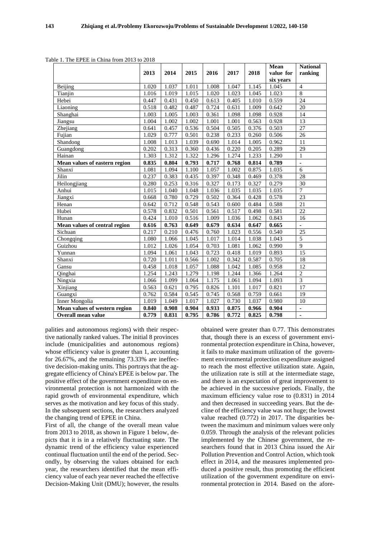|                               | 2013  | 2014  | 2015  | 2016  | 2017  | 2018  | Mean<br>value for | <b>National</b><br>ranking |
|-------------------------------|-------|-------|-------|-------|-------|-------|-------------------|----------------------------|
|                               |       |       |       |       |       |       | six years         |                            |
| Beijing                       | 1.020 | 1.037 | 1.011 | 1.008 | 1.047 | 1.145 | 1.045             | $\overline{4}$             |
| Tianjin                       | 1.016 | 1.019 | 1.015 | 1.020 | 1.023 | 1.045 | 1.023             | 8                          |
| Hebei                         | 0.447 | 0.431 | 0.450 | 0.613 | 0.405 | 1.010 | 0.559             | 24                         |
| Liaoning                      | 0.518 | 0.482 | 0.487 | 0.724 | 0.631 | 1.009 | 0.642             | 20                         |
| Shanghai                      | 1.003 | 1.005 | 1.003 | 0.361 | 1.098 | 1.098 | 0.928             | 14                         |
| Jiangsu                       | 1.004 | 1.002 | 1.002 | 1.001 | 1.001 | 0.563 | 0.928             | 13                         |
| Zhejiang                      | 0.641 | 0.457 | 0.536 | 0.504 | 0.505 | 0.376 | 0.503             | 27                         |
| Fujian                        | 1.029 | 0.777 | 0.501 | 0.238 | 0.233 | 0.260 | 0.506             | 26                         |
| Shandong                      | 1.008 | 1.013 | 1.039 | 0.690 | 1.014 | 1.005 | 0.962             | 11                         |
| Guangdong                     | 0.202 | 0.313 | 0.360 | 0.436 | 0.220 | 0.205 | 0.289             | 29                         |
| Hainan                        | 1.303 | 1.312 | 1.322 | 1.296 | 1.274 | 1.233 | 1.290             | $\mathbf{1}$               |
| Mean values of eastern region | 0.835 | 0.804 | 0.793 | 0.717 | 0.768 | 0.814 | 0.789             | $\overline{\phantom{a}}$   |
| Shanxi                        | 1.081 | 1.094 | 1.100 | 1.057 | 1.002 | 0.875 | 1.035             | 6                          |
| Jilin                         | 0.237 | 0.383 | 0.435 | 0.397 | 0.348 | 0.469 | 0.378             | 28                         |
| Heilongjiang                  | 0.280 | 0.253 | 0.316 | 0.327 | 0.173 | 0.327 | 0.279             | 30                         |
| Anhui                         | 1.015 | 1.040 | 1.048 | 1.036 | 1.035 | 1.035 | 1.035             | $\overline{7}$             |
| Jiangxi                       | 0.668 | 0.780 | 0.729 | 0.502 | 0.364 | 0.428 | 0.578             | 23                         |
| Henan                         | 0.642 | 0.712 | 0.548 | 0.543 | 0.600 | 0.484 | 0.588             | 21                         |
| Hubei                         | 0.578 | 0.832 | 0.501 | 0.561 | 0.517 | 0.498 | 0.581             | 22                         |
| Hunan                         | 0.424 | 1.010 | 0.516 | 1.009 | 1.036 | 1.062 | 0.843             | 16                         |
| Mean values of central region | 0.616 | 0.763 | 0.649 | 0.679 | 0.634 | 0.647 | 0.665             |                            |
| Sichuan                       | 0.217 | 0.210 | 0.476 | 0.760 | 1.023 | 0.556 | 0.540             | 25                         |
| Chongqing                     | 1.080 | 1.066 | 1.045 | 1.017 | 1.014 | 1.038 | 1.043             | 5                          |
| Guizhou                       | 1.012 | 1.026 | 1.054 | 0.703 | 1.081 | 1.062 | 0.990             | 9                          |
| Yunnan                        | 1.094 | 1.061 | 1.043 | 0.723 | 0.418 | 1.019 | 0.893             | 15                         |
| Shanxi                        | 0.720 | 1.011 | 0.566 | 1.002 | 0.342 | 0.587 | 0.705             | $\overline{18}$            |
| Gansu                         | 0.458 | 1.018 | 1.057 | 1.088 | 1.042 | 1.085 | 0.958             | 12                         |
| Qinghai                       | 1.254 | 1.243 | 1.279 | 1.198 | 1.244 | 1.366 | 1.264             | $\overline{2}$             |
| Ningxia                       | 1.066 | 1.099 | 1.064 | 1.175 | 1.061 | 1.094 | 1.093             | $\overline{3}$             |
| Xinjiang                      | 0.563 | 0.621 | 0.795 | 0.826 | 1.101 | 1.017 | 0.821             | $\overline{17}$            |
| Guangxi                       | 0.762 | 0.584 | 0.545 | 0.745 | 0.568 | 0.759 | 0.661             | 19                         |
| <b>Inner Mongolia</b>         | 1.019 | 1.049 | 1.017 | 1.027 | 0.730 | 1.037 | 0.980             | 10                         |
| Mean values of western region | 0.840 | 0.908 | 0.904 | 0.933 | 0.875 | 0.966 | 0.904             |                            |
| Overall mean value            | 0.779 | 0.831 | 0.795 | 0.786 | 0.772 | 0.825 | 0.798             | $\blacksquare$             |

Table 1. The EPEE in China from 2013 to 2018

palities and autonomous regions) with their respective nationally ranked values. The initial 8 provinces include (municipalities and autonomous regions) whose efficiency value is greater than 1, accounting for 26.67%, and the remaining 73.33% are ineffective decision-making units. This portrays that the aggregate efficiency of China's EPEE is below par. The positive effect of the government expenditure on environmental protection is not harmonized with the rapid growth of environmental expenditure, which serves as the motivation and key focus of this study. In the subsequent sections, the researchers analyzed the changing trend of EPEE in China.

First of all, the change of the overall mean value from 2013 to 2018, as shown in Figure 1 below, depicts that it is in a relatively fluctuating state. The dynamic trend of the efficiency value experienced continual fluctuation until the end of the period. Secondly, by observing the values obtained for each year, the researchers identified that the mean efficiency value of each year never reached the effective Decision-Making Unit (DMU); however, the results

obtained were greater than 0.77. This demonstrates that, though there is an excess of government environmental protection expenditure in China, however, it fails to make maximum utilization of the government environmental protection expenditure assigned to reach the most effective utilization state. Again, the utilization rate is still at the intermediate stage, and there is an expectation of great improvement to be achieved in the successive periods. Finally, the maximum efficiency value rose to (0.831) in 2014 and then decreased in succeeding years. But the decline of the efficiency value was not huge; the lowest value reached (0.772) in 2017. The disparities between the maximum and minimum values were only 0.059. Through the analysis of the relevant policies implemented by the Chinese government, the researchers found that in 2013 China issued the Air Pollution Prevention and Control Action, which took effect in 2014, and the measures implemented produced a positive result, thus promoting the efficient utilization of the government expenditure on environmental protection in 2014. Based on the afore-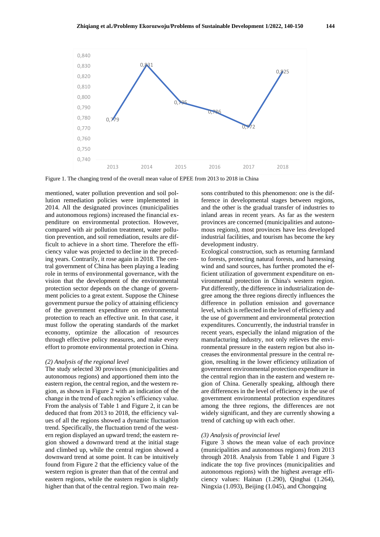

Figure 1. The changing trend of the overall mean value of EPEE from 2013 to 2018 in China

mentioned, water pollution prevention and soil pollution remediation policies were implemented in 2014. All the designated provinces (municipalities and autonomous regions) increased the financial expenditure on environmental protection. However, compared with air pollution treatment, water pollution prevention, and soil remediation, results are difficult to achieve in a short time. Therefore the efficiency value was projected to decline in the preceding years. Contrarily, it rose again in 2018. The central government of China has been playing a leading role in terms of environmental governance, with the vision that the development of the environmental protection sector depends on the change of government policies to a great extent. Suppose the Chinese government pursue the policy of attaining efficiency of the government expenditure on environmental protection to reach an effective unit. In that case, it must follow the operating standards of the market economy, optimize the allocation of resources through effective policy measures, and make every effort to promote environmental protection in China.

#### *(2) Analysis of the regional level*

The study selected 30 provinces (municipalities and autonomous regions) and apportioned them into the eastern region, the central region, and the western region, as shown in Figure 2 with an indication of the change in the trend of each region's efficiency value. From the analysis of Table 1 and Figure 2, it can be deduced that from 2013 to 2018, the efficiency values of all the regions showed a dynamic fluctuation trend. Specifically, the fluctuation trend of the western region displayed an upward trend; the eastern region showed a downward trend at the initial stage and climbed up, while the central region showed a downward trend at some point. It can be intuitively found from Figure 2 that the efficiency value of the western region is greater than that of the central and eastern regions, while the eastern region is slightly higher than that of the central region. Two main reasons contributed to this phenomenon: one is the difference in developmental stages between regions, and the other is the gradual transfer of industries to inland areas in recent years. As far as the western provinces are concerned (municipalities and autonomous regions), most provinces have less developed industrial facilities, and tourism has become the key development industry.

Ecological construction, such as returning farmland to forests, protecting natural forests, and harnessing wind and sand sources, has further promoted the efficient utilization of government expenditure on environmental protection in China's western region. Put differently, the difference in industrialization degree among the three regions directly influences the difference in pollution emission and governance level, which is reflected in the level of efficiency and the use of government and environmental protection expenditures. Concurrently, the industrial transfer in recent years, especially the inland migration of the manufacturing industry, not only relieves the environmental pressure in the eastern region but also increases the environmental pressure in the central region, resulting in the lower efficiency utilization of government environmental protection expenditure in the central region than in the eastern and western region of China. Generally speaking, although there are differences in the level of efficiency in the use of government environmental protection expenditures among the three regions, the differences are not widely significant, and they are currently showing a trend of catching up with each other.

#### *(3) Analysis of provincial level*

Figure 3 shows the mean value of each province (municipalities and autonomous regions) from 2013 through 2018. Analysis from Table 1 and Figure 3 indicate the top five provinces (municipalities and autonomous regions) with the highest average efficiency values: Hainan (1.290), Qinghai (1.264), Ningxia (1.093), Beijing (1.045), and Chongqing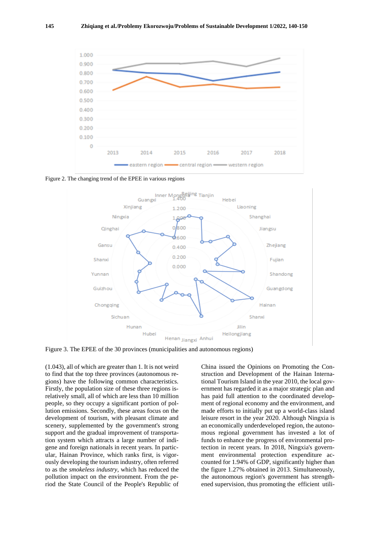

Figure 2. The changing trend of the EPEE in various regions



Figure 3. The EPEE of the 30 provinces (municipalities and autonomous regions)

(1.043), all of which are greater than 1. It is not weird to find that the top three provinces (autonomous regions) have the following common characteristics. Firstly, the population size of these three regions isrelatively small, all of which are less than 10 million people, so they occupy a significant portion of pollution emissions. Secondly, these areas focus on the development of tourism, with pleasant climate and scenery, supplemented by the government's strong support and the gradual improvement of transportation system which attracts a large number of indigene and foreign nationals in recent years. In particular, Hainan Province, which ranks first, is vigorously developing the tourism industry, often referred to as the *smokeless industry*, which has reduced the pollution impact on the environment. From the period the State Council of the People's Republic of

China issued the Opinions on Promoting the Construction and Development of the Hainan International Tourism Island in the year 2010, the local government has regarded it as a major strategic plan and has paid full attention to the coordinated development of regional economy and the environment, and made efforts to initially put up a world-class island leisure resort in the year 2020. Although Ningxia is an economically underdeveloped region, the autonomous regional government has invested a lot of funds to enhance the progress of environmental protection in recent years. In 2018, Ningxia's government environmental protection expenditure accounted for 1.94% of GDP, significantly higher than the figure 1.27% obtained in 2013. Simultaneously, the autonomous region's government has strengthened supervision, thus promoting the efficient utili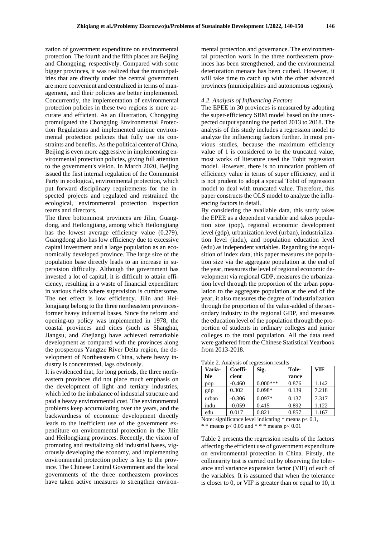zation of government expenditure on environmental protection. The fourth and the fifth places are Beijing and Chongqing, respectively. Compared with some bigger provinces, it was realized that the municipalities that are directly under the central government are more convenient and centralized in terms of management, and their policies are better implemented. Concurrently, the implementation of environmental protection policies in these two regions is more accurate and efficient. As an illustration, Chongqing promulgated the Chongqing Environmental Protection Regulations and implemented unique environmental protection policies that fully use its constraints and benefits. As the political center of China, Beijing is even more aggressive in implementing environmental protection policies, giving full attention to the government's vision. In March 2020, Beijing issued the first internal regulation of the Communist Party in ecological, environmental protection, which put forward disciplinary requirements for the inspected projects and regulated and restrained the ecological, environmental protection inspection teams and directors.

The three bottommost provinces are Jilin, Guangdong, and Heilongjiang, among which Heilongjiang has the lowest average efficiency value (0.279). Guangdong also has low efficiency due to excessive capital investment and a large population as an economically developed province. The large size of the population base directly leads to an increase in supervision difficulty. Although the government has invested a lot of capital, it is difficult to attain efficiency, resulting in a waste of financial expenditure in various fields where supervision is cumbersome. The net effect is low efficiency. Jilin and Heilongjiang belong to the three northeastern provincesformer heavy industrial bases. Since the reform and opening-up policy was implemented in 1978, the coastal provinces and cities (such as Shanghai, Jiangsu, and Zhejiang) have achieved remarkable development as compared with the provinces along the prosperous Yangtze River Delta region, the development of Northeastern China, where heavy industry is concentrated, lags obviously.

It is evidenced that, for long periods, the three northeastern provinces did not place much emphasis on the development of light and tertiary industries, which led to the imbalance of industrial structure and paid a heavy environmental cost. The environmental problems keep accumulating over the years, and the backwardness of economic development directly leads to the inefficient use of the government expenditure on environmental protection in the Jilin and Heilongjiang provinces. Recently, the vision of promoting and revitalizing old industrial bases, vigorously developing the economy, and implementing environmental protection policy is key to the province. The Chinese Central Government and the local governments of the three northeastern provinces have taken active measures to strengthen environ-

mental protection and governance. The environmental protection work in the three northeastern provinces has been strengthened, and the environmental deterioration menace has been curbed. However, it will take time to catch up with the other advanced provinces (municipalities and autonomous regions).

#### *4.2. Analysis of Influencing Factors*

The EPEE in 30 provinces is measured by adopting the super-efficiency SBM model based on the unexpected output spanning the period 2013 to 2018. The analysis of this study includes a regression model to analyze the influencing factors further. In most previous studies, because the maximum efficiency value of 1 is considered to be the truncated value, most works of literature used the Tobit regression model. However, there is no truncation problem of efficiency value in terms of super efficiency, and it is not prudent to adopt a special Tobit of regression model to deal with truncated value. Therefore, this paper constructs the OLS model to analyze the influencing factors in detail.

By considering the available data, this study takes the EPEE as a dependent variable and takes population size (pop), regional economic development level (gdp), urbanization level (urban), industrialization level (indu), and population education level (edu) as independent variables. Regarding the acquisition of index data, this paper measures the population size via the aggregate population at the end of the year, measures the level of regional economic development via regional GDP, measures the urbanization level through the proportion of the urban population to the aggregate population at the end of the year, it also measures the degree of industrialization through the proportion of the value-added of the secondary industry to the regional GDP, and measures the education level of the population through the proportion of students in ordinary colleges and junior colleges to the total population. All the data used were gathered from the Chinese Statistical Yearbook from 2013-2018.

| Varia-<br>ble | Coeffi-<br>cient | Sig.       | Tole-<br>rance | <b>VIF</b> |
|---------------|------------------|------------|----------------|------------|
| pop           | $-0.460$         | $0.000***$ | 0.876          | 1.142      |
| gdp           | 0.302            | $0.098*$   | 0.139          | 7.218      |
| urban         | $-0.306$         | $0.097*$   | 0.137          | 7.317      |
| indu          | $-0.059$         | 0.415      | 0.892          | 1.122      |
| edu           | 0.017            | 0.821      | 0.857          | 1.167      |

Table 2. Analysis of regression results

Note: significance level indicating  $*$  means  $p < 0.1$ , \* \* means  $p < 0.05$  and \* \* \* means  $p < 0.01$ 

Table 2 presents the regression results of the factors affecting the efficient use of government expenditure on environmental protection in China. Firstly, the collinearity test is carried out by observing the tolerance and variance expansion factor (VIF) of each of the variables. It is assumed that when the tolerance is closer to 0, or VIF is greater than or equal to 10, it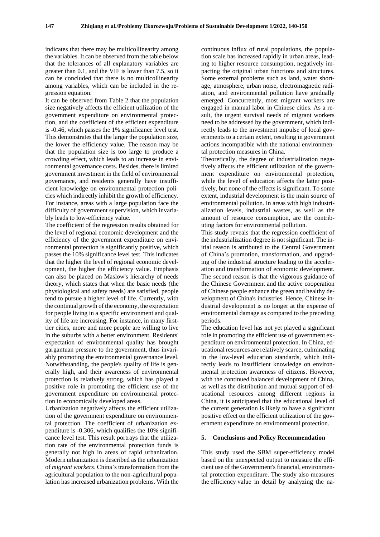indicates that there may be multicollinearity among the variables. It can be observed from the table below that the tolerances of all explanatory variables are greater than 0.1, and the VIF is lower than 7.5, so it can be concluded that there is no multicollinearity among variables, which can be included in the regression equation.

It can be observed from Table 2 that the population size negatively affects the efficient utilization of the government expenditure on environmental protection, and the coefficient of the efficient expenditure is -0.46, which passes the 1% significance level test. This demonstrates that the larger the population size, the lower the efficiency value. The reason may be that the population size is too large to produce a crowding effect, which leads to an increase in environmental governance costs. Besides, there is limited government investment in the field of environmental governance, and residents generally have insufficient knowledge on environmental protection policies which indirectly inhibit the growth of efficiency. For instance, areas with a large population face the difficulty of government supervision, which invariably leads to low-efficiency value.

The coefficient of the regression results obtained for the level of regional economic development and the efficiency of the government expenditure on environmental protection is significantly positive, which passes the 10% significance level test. This indicates that the higher the level of regional economic development, the higher the efficiency value. Emphasis can also be placed on Maslow's hierarchy of needs theory, which states that when the basic needs (the physiological and safety needs) are satisfied, people tend to pursue a higher level of life. Currently, with the continual growth of the economy, the expectation for people living in a specific environment and quality of life are increasing. For instance, in many firsttier cities, more and more people are willing to live in the suburbs with a better environment. Residents' expectation of environmental quality has brought gargantuan pressure to the government, thus invariably promoting the environmental governance level. Notwithstanding, the people's quality of life is generally high, and their awareness of environmental protection is relatively strong, which has played a positive role in promoting the efficient use of the government expenditure on environmental protection in economically developed areas.

Urbanization negatively affects the efficient utilization of the government expenditure on environmental protection. The coefficient of urbanization expenditure is -0.306, which qualifies the 10% significance level test. This result portrays that the utilization rate of the environmental protection funds is generally not high in areas of rapid urbanization. Modern urbanization is described as the urbanization of *migrant workers*. China's transformation from the agricultural population to the non-agricultural population has increased urbanization problems. With the

continuous influx of rural populations, the population scale has increased rapidly in urban areas, leading to higher resource consumption, negatively impacting the original urban functions and structures. Some external problems such as land, water shortage, atmosphere, urban noise, electromagnetic radiation, and environmental pollution have gradually emerged. Concurrently, most migrant workers are engaged in manual labor in Chinese cities. As a result, the urgent survival needs of migrant workers need to be addressed by the government, which indirectly leads to the investment impulse of local governments to a certain extent, resulting in government actions incompatible with the national environmental protection measures in China.

Theoretically, the degree of industrialization negatively affects the efficient utilization of the government expenditure on environmental protection, while the level of education affects the latter positively, but none of the effects is significant. To some extent, industrial development is the main source of environmental pollution. In areas with high industrialization levels, industrial wastes, as well as the amount of resource consumption, are the contributing factors for environmental pollution.

This study reveals that the regression coefficient of the industrialization degree is not significant. The initial reason is attributed to the Central Government of China's promotion, transformation, and upgrading of the industrial structure leading to the acceleration and transformation of economic development. The second reason is that the vigorous guidance of the Chinese Government and the active cooperation of Chinese people enhance the green and healthy development of China's industries. Hence, Chinese industrial development is no longer at the expense of environmental damage as compared to the preceding periods.

The education level has not yet played a significant role in promoting the efficient use of government expenditure on environmental protection. In China, educational resources are relatively scarce, culminating in the low-level education standards, which indirectly leads to insufficient knowledge on environmental protection awareness of citizens. However, with the continued balanced development of China, as well as the distribution and mutual support of educational resources among different regions in China, it is anticipated that the educational level of the current generation is likely to have a significant positive effect on the efficient utilization of the government expenditure on environmental protection.

#### **5. Conclusions and Policy Recommendation**

This study used the SBM super-efficiency model based on the unexpected output to measure the efficient use of the Government's financial, environmental protection expenditure. The study also measures the efficiency value in detail by analyzing the na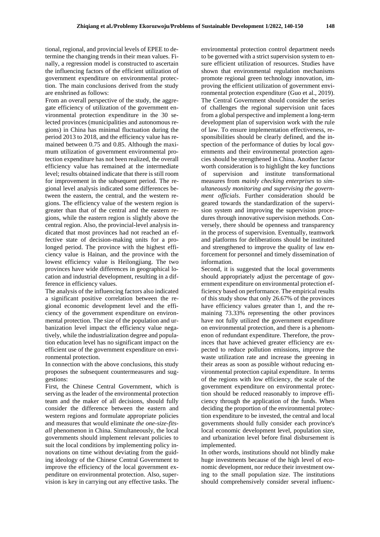tional, regional, and provincial levels of EPEE to determine the changing trends in their mean values. Finally, a regression model is constructed to ascertain the influencing factors of the efficient utilization of government expenditure on environmental protection. The main conclusions derived from the study are enshrined as follows:

From an overall perspective of the study, the aggregate efficiency of utilization of the government environmental protection expenditure in the 30 selected provinces (municipalities and autonomous regions) in China has minimal fluctuation during the period 2013 to 2018, and the efficiency value has remained between 0.75 and 0.85. Although the maximum utilization of government environmental protection expenditure has not been realized, the overall efficiency value has remained at the intermediate level; results obtained indicate that there is still room for improvement in the subsequent period. The regional level analysis indicated some differences between the eastern, the central, and the western regions. The efficiency value of the western region is greater than that of the central and the eastern regions, while the eastern region is slightly above the central region. Also, the provincial-level analysis indicated that most provinces had not reached an effective state of decision-making units for a prolonged period. The province with the highest efficiency value is Hainan, and the province with the lowest efficiency value is Heilongjiang. The two provinces have wide differences in geographical location and industrial development, resulting in a difference in efficiency values.

The analysis of the influencing factors also indicated a significant positive correlation between the regional economic development level and the efficiency of the government expenditure on environmental protection. The size of the population and urbanization level impact the efficiency value negatively, while the industrialization degree and population education level has no significant impact on the efficient use of the government expenditure on environmental protection.

In connection with the above conclusions, this study proposes the subsequent countermeasures and suggestions:

First, the Chinese Central Government, which is serving as the leader of the environmental protection team and the maker of all decisions, should fully consider the difference between the eastern and western regions and formulate appropriate policies and measures that would eliminate *the one-size-fitsall* phenomenon in China. Simultaneously, the local governments should implement relevant policies to suit the local conditions by implementing policy innovations on time without deviating from the guiding ideology of the Chinese Central Government to improve the efficiency of the local government expenditure on environmental protection. Also, supervision is key in carrying out any effective tasks. The

environmental protection control department needs to be governed with a strict supervision system to ensure efficient utilization of resources. Studies have shown that environmental regulation mechanisms promote regional green technology innovation, improving the efficient utilization of government environmental protection expenditure (Guo et al., 2019). The Central Government should consider the series of challenges the regional supervision unit faces from a global perspective and implement a long-term development plan of supervision work with the rule of law. To ensure implementation effectiveness, responsibilities should be clearly defined, and the inspection of the performance of duties by local governments and their environmental protection agencies should be strengthened in China. Another factor worth consideration is to highlight the key functions of supervision and institute transformational measures from *mainly checking enterprises* to *simultaneously monitoring and supervising the government officials*. Further consideration should be geared towards the standardization of the supervision system and improving the supervision procedures through innovative supervision methods. Conversely, there should be openness and transparency in the process of supervision. Eventually, teamwork and platforms for deliberations should be instituted and strengthened to improve the quality of law enforcement for personnel and timely dissemination of information.

Second, it is suggested that the local governments should appropriately adjust the percentage of government expenditure on environmental protection efficiency based on performance. The empirical results of this study show that only 26.67% of the provinces have efficiency values greater than 1, and the remaining 73.33% representing the other provinces have not fully utilized the government expenditure on environmental protection, and there is a phenomenon of redundant expenditure. Therefore, the provinces that have achieved greater efficiency are expected to reduce pollution emissions, improve the waste utilization rate and increase the greening in their areas as soon as possible without reducing environmental protection capital expenditure. In terms of the regions with low efficiency, the scale of the government expenditure on environmental protection should be reduced reasonably to improve efficiency through the application of the funds. When deciding the proportion of the environmental protection expenditure to be invested, the central and local governments should fully consider each province's local economic development level, population size, and urbanization level before final disbursement is implemented.

In other words, institutions should not blindly make huge investments because of the high level of economic development, nor reduce their investment owing to the small population size. The institutions should comprehensively consider several influenc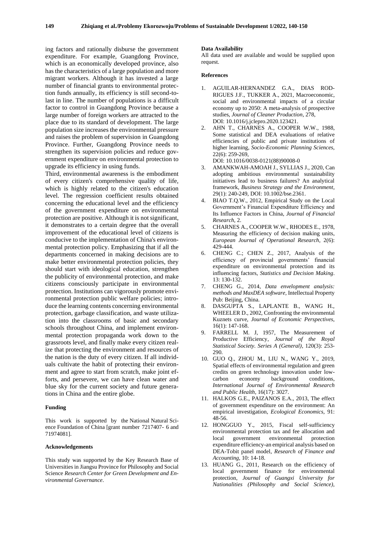ing factors and rationally disburse the government expenditure. For example, Guangdong Province, which is an economically developed province, also has the characteristics of a large population and more migrant workers. Although it has invested a large number of financial grants to environmental protection funds annually, its efficiency is still second-tolast in line. The number of populations is a difficult factor to control in Guangdong Province because a large number of foreign workers are attracted to the place due to its standard of development. The large population size increases the environmental pressure and raises the problem of supervision in Guangdong Province. Further, Guangdong Province needs to strengthen its supervision policies and reduce government expenditure on environmental protection to upgrade its efficiency in using funds.

Third, environmental awareness is the embodiment of every citizen's comprehensive quality of life, which is highly related to the citizen's education level. The regression coefficient results obtained concerning the educational level and the efficiency of the government expenditure on environmental protection are positive. Although it is not significant, it demonstrates to a certain degree that the overall improvement of the educational level of citizens is conducive to the implementation of China's environmental protection policy. Emphasizing that if all the departments concerned in making decisions are to make better environmental protection policies, they should start with ideological education, strengthen the publicity of environmental protection, and make citizens consciously participate in environmental protection. Institutions can vigorously promote environmental protection public welfare policies; introduce the learning contents concerning environmental protection, garbage classification, and waste utilization into the classrooms of basic and secondary schools throughout China, and implement environmental protection propaganda work down to the grassroots level, and finally make every citizen realize that protecting the environment and resources of the nation is the duty of every citizen. If all individuals cultivate the habit of protecting their environment and agree to start from scratch, make joint efforts, and persevere, we can have clean water and blue sky for the current society and future generations in China and the entire globe.

#### **Funding**

This work is supported by the National Natural Science Foundation of China [grant number 7217407- 6 and 71974081].

#### **Acknowledgements**

This study was supported by the Key Research Base of Universities in Jiangsu Province for Philosophy and Social Science *Research Center for Green Development and Environmental Governance*.

### **Data Availability**

All data used are available and would be supplied upon request.

#### **References**

- 1. AGUILAR-HERNANDEZ G.A., DIAS ROD-RIGUES J.F., TUKKER A., 2021, Macroeconomic, social and environmental impacts of a circular economy up to 2050: A meta-analysis of prospective studies, *Journal of Cleaner Production*, 278, DOI: 10.1016/j.jclepro.2020.123421.
- 2. AHN T., CHARNES A., COOPER W.W., 1988, Some statistical and DEA evaluations of relative efficiencies of public and private institutions of higher learning, *Socio-Economic Planning Sciences*, 22(6): 259-269, DOI: 10.1016/0038-0121(88)90008-0
- 3. AMANKWAH-AMOAH J., SYLLIAS J., 2020, Can adopting ambitious environmental sustainability initiatives lead to business failures? An analytical framework, *Business Strategy and the Environment*, 29(1): 240-249, DOI: 10.1002/bse.2361.
- 4. BIAO T.Q.W., 2012, Empirical Study on the Local Government's Financial Expenditure Efficiency and Its Influence Factors in China, *Journal of Financial Research*, 2.
- 5. CHARNES A., COOPER W.W., RHODES E., 1978, Measuring the efficiency of decision making units, *European Journal of Operational Research*, 2(6): 429-444.
- 6. CHENG C.; CHEN Z., 2017, Analysis of the efficiency of provincial governments' financial expenditure on environmental protection and its influencing factors, *Statistics and Decision Making*. 13: 130-132.
- 7. CHENG G., 2014, *Data envelopment analysis: methods and MaxDEA software,* Intellectual Property Pub: Beijing, China.
- 8. DASGUPTA S., LAPLANTE B., WANG H., WHEELER D., 2002, Confronting the environmental Kuznets curve, *Journal of Economic Perspectives*, 16(1): 147-168.
- 9. FARRELL M. J, 1957, The Measurement of Productive Efficiency, *Journal of the Royal Statistical Society. Series A (General)*, 120(3): 253- 290.
- 10. GUO Q., ZHOU M., LIU N., WANG Y., 2019, Spatial effects of environmental regulation and green credits on green technology innovation under lowcarbon economy background conditions, *International Journal of Environmental Research and Public Health*, 16(17): 3027.
- 11. HALKOS G.E., PAIZANOS E.Α., 2013, The effect of government expenditure on the environment: An empirical investigation, *Ecological Economics*, 91: 48-56.
- 12. HONGGUO Y., 2015, Fiscal self-sufficiency environmental protection tax and fee allocation and local government environmental protection expenditure efficiency-an empirical analysis based on DEA-Tobit panel model, *Research of Finance and Accounting*, 10: 14-18.
- 13. HUANG G., 2011, Research on the efficiency of local government finance for environmental protection, *Journal of Guangxi University for Nationalities (Philosophy and Social Science)*,